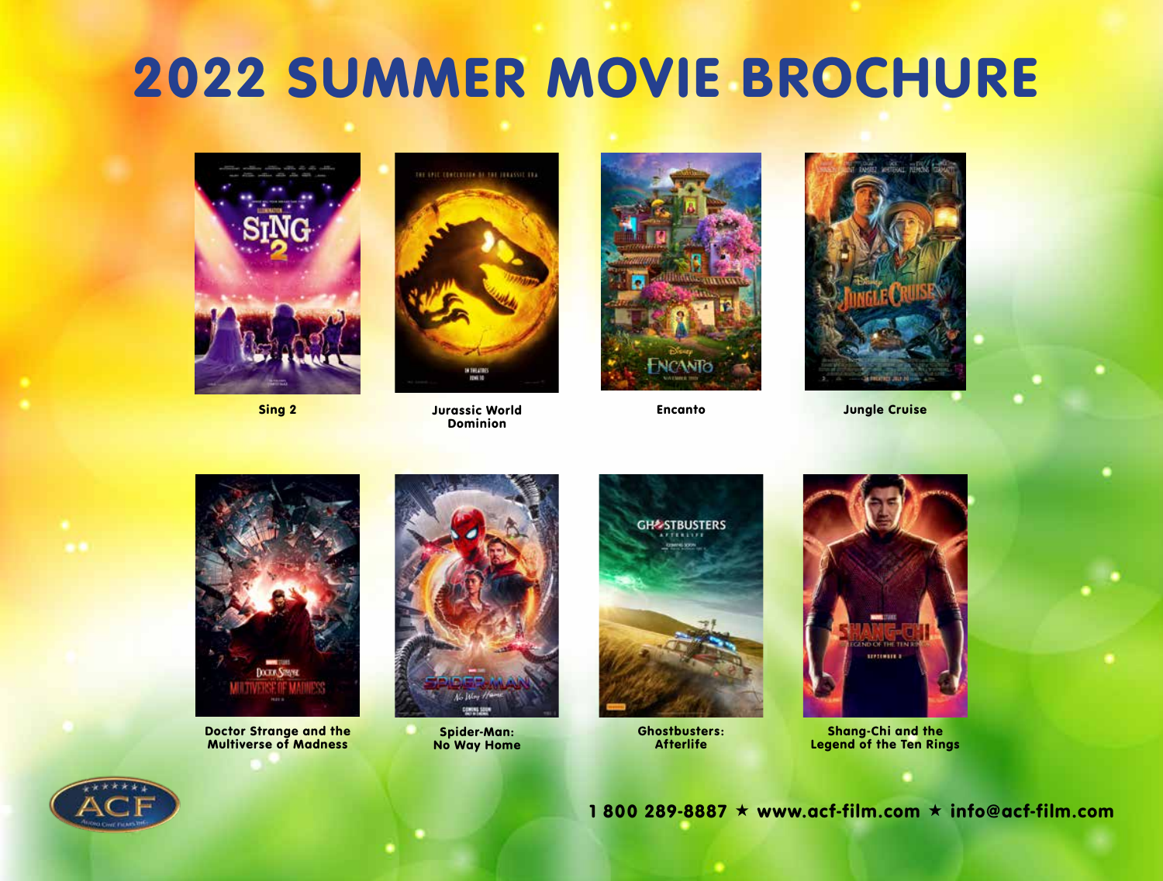## 2022 SUMMER MOVIE BROCHURE





Jurassic World Sing 2 Encanto Dominion





Jungle Cruise



Doctor Strange and the Multiverse of Madness



Spider-Man: No Way Home



Ghostbusters: **Afterlife** 



Shang-Chi and the Legend of the Ten Rings



1 800 289-8887  $\star$  www.acf-film.com  $\star$  info@acf-film.com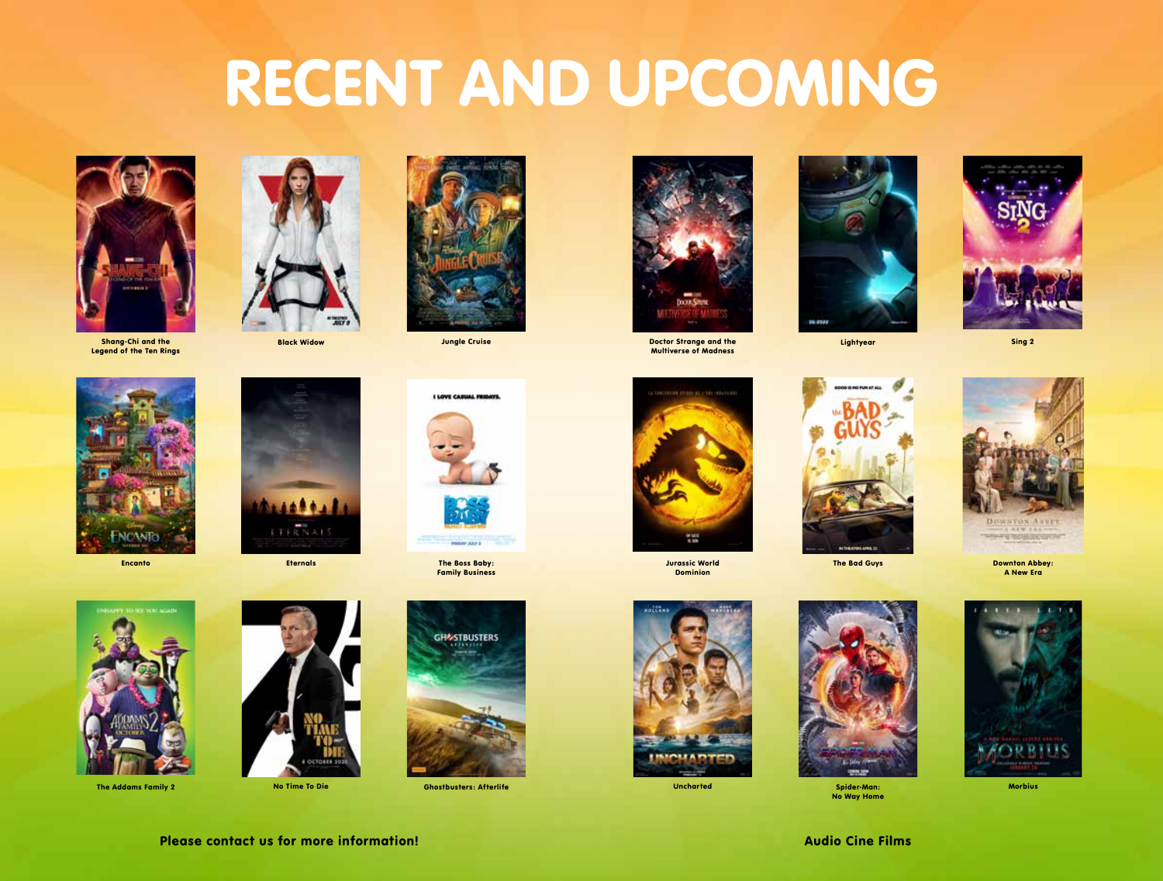# RECENT AND UPCOMING



Legend of the Ten Rings





Jungle Cruise







Sing 2







Encanto Eternals The Boss Baby: Family Business



The Addams Family 2 **Channel Communist Communist Communist Communist Communist Communist Communist Communist Communist Communist Communist Communist Communist Communist Communist Communist Communist Communist Communist Com** 



No Time To Die





**Jurassic World The Bad Guys** Dominion







Uncharted Morbius (Morbius Spider-Man: Morbius Morbius Morbius Morbius Morbius Morbius Morbius Morbius (Morbiu No Way Home



Downton Abbey: A New Era



Please contact us for more information! Audio Cine Films



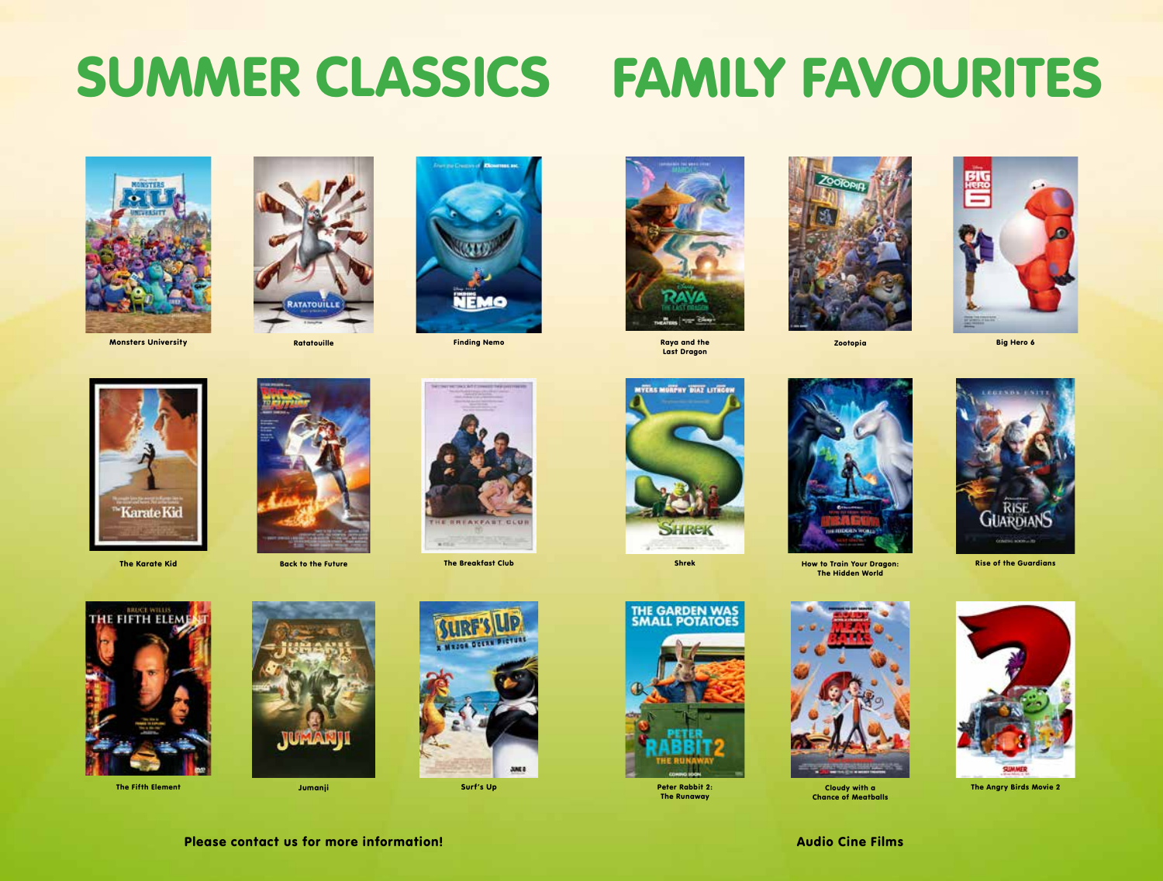## SUMMER CLASSICS FAMILY FAVOURITES







Monsters University Ratatouille Finding Nemotion Ratatouille



Last Dragon





Big Hero 6







The Karate Kid Back to the Future The Breakfast Club





How to Train Your Dragon: Shrek Rise of the Guardians The Hidden World



Cloudy with a Chance of Meatballs







The Angry Birds Movie 2



The Fifth Element Jumanji Surf's Up





**JUNE 8** 



The Runaway